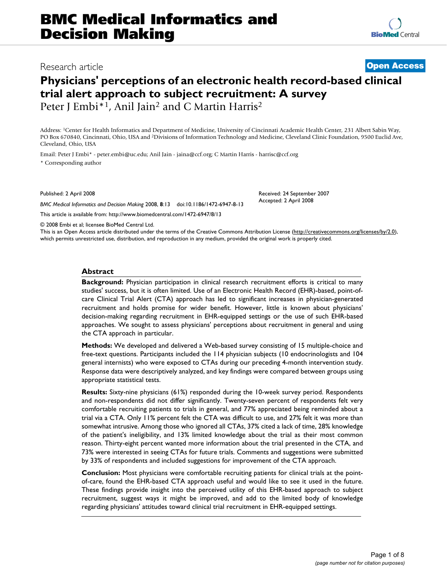Peter J Embi\*<sup>1</sup>, Anil Jain<sup>2</sup> and C Martin Harris<sup>2</sup>

Address: 1Center for Health Informatics and Department of Medicine, University of Cincinnati Academic Health Center, 231 Albert Sabin Way, PO Box 670840, Cincinnati, Ohio, USA and 2Divisions of Information Technology and Medicine, Cleveland Clinic Foundation, 9500 Euclid Ave, Cleveland, Ohio, USA

Email: Peter J Embi\* - peter.embi@uc.edu; Anil Jain - jaina@ccf.org; C Martin Harris - harrisc@ccf.org

\* Corresponding author

Published: 2 April 2008

*BMC Medical Informatics and Decision Making* 2008, **8**:13 doi:10.1186/1472-6947-8-13

[This article is available from: http://www.biomedcentral.com/1472-6947/8/13](http://www.biomedcentral.com/1472-6947/8/13)

© 2008 Embi et al; licensee BioMed Central Ltd.

This is an Open Access article distributed under the terms of the Creative Commons Attribution License [\(http://creativecommons.org/licenses/by/2.0\)](http://creativecommons.org/licenses/by/2.0), which permits unrestricted use, distribution, and reproduction in any medium, provided the original work is properly cited.

## **Abstract**

**Background:** Physician participation in clinical research recruitment efforts is critical to many studies' success, but it is often limited. Use of an Electronic Health Record (EHR)-based, point-ofcare Clinical Trial Alert (CTA) approach has led to significant increases in physician-generated recruitment and holds promise for wider benefit. However, little is known about physicians' decision-making regarding recruitment in EHR-equipped settings or the use of such EHR-based approaches. We sought to assess physicians' perceptions about recruitment in general and using the CTA approach in particular.

**Methods:** We developed and delivered a Web-based survey consisting of 15 multiple-choice and free-text questions. Participants included the 114 physician subjects (10 endocrinologists and 104 general internists) who were exposed to CTAs during our preceding 4-month intervention study. Response data were descriptively analyzed, and key findings were compared between groups using appropriate statistical tests.

**Results:** Sixty-nine physicians (61%) responded during the 10-week survey period. Respondents and non-respondents did not differ significantly. Twenty-seven percent of respondents felt very comfortable recruiting patients to trials in general, and 77% appreciated being reminded about a trial via a CTA. Only 11% percent felt the CTA was difficult to use, and 27% felt it was more than somewhat intrusive. Among those who ignored all CTAs, 37% cited a lack of time, 28% knowledge of the patient's ineligibility, and 13% limited knowledge about the trial as their most common reason. Thirty-eight percent wanted more information about the trial presented in the CTA, and 73% were interested in seeing CTAs for future trials. Comments and suggestions were submitted by 33% of respondents and included suggestions for improvement of the CTA approach.

**Conclusion:** Most physicians were comfortable recruiting patients for clinical trials at the pointof-care, found the EHR-based CTA approach useful and would like to see it used in the future. These findings provide insight into the perceived utility of this EHR-based approach to subject recruitment, suggest ways it might be improved, and add to the limited body of knowledge regarding physicians' attitudes toward clinical trial recruitment in EHR-equipped settings.



Received: 24 September 2007 Accepted: 2 April 2008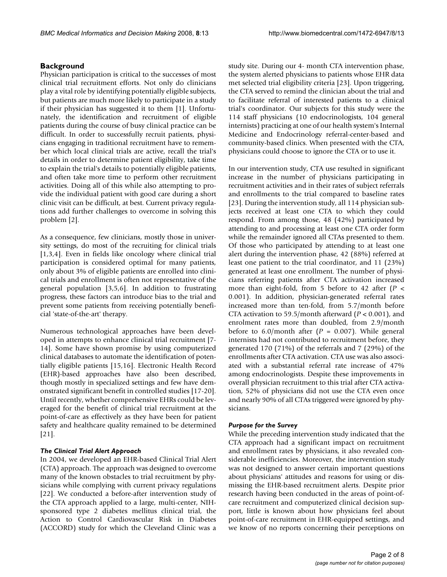# **Background**

Physician participation is critical to the successes of most clinical trial recruitment efforts. Not only do clinicians play a vital role by identifying potentially eligible subjects, but patients are much more likely to participate in a study if their physician has suggested it to them [1]. Unfortunately, the identification and recruitment of eligible patients during the course of busy clinical practice can be difficult. In order to successfully recruit patients, physicians engaging in traditional recruitment have to remember which local clinical trials are active, recall the trial's details in order to determine patient eligibility, take time to explain the trial's details to potentially eligible patients, and often take more time to perform other recruitment activities. Doing all of this while also attempting to provide the individual patient with good care during a short clinic visit can be difficult, at best. Current privacy regulations add further challenges to overcome in solving this problem [2].

As a consequence, few clinicians, mostly those in university settings, do most of the recruiting for clinical trials [1,3,4]. Even in fields like oncology where clinical trial participation is considered optimal for many patients, only about 3% of eligible patients are enrolled into clinical trials and enrollment is often not representative of the general population [3,5,6]. In addition to frustrating progress, these factors can introduce bias to the trial and prevent some patients from receiving potentially beneficial 'state-of-the-art' therapy.

Numerous technological approaches have been developed in attempts to enhance clinical trial recruitment [7- 14]. Some have shown promise by using computerized clinical databases to automate the identification of potentially eligible patients [15,16]. Electronic Health Record (EHR)-based approaches have also been described, though mostly in specialized settings and few have demonstrated significant benefit in controlled studies [17-20]. Until recently, whether comprehensive EHRs could be leveraged for the benefit of clinical trial recruitment at the point-of-care as effectively as they have been for patient safety and healthcare quality remained to be determined [21].

## *The Clinical Trial Alert Approach*

In 2004, we developed an EHR-based Clinical Trial Alert (CTA) approach. The approach was designed to overcome many of the known obstacles to trial recruitment by physicians while complying with current privacy regulations [22]. We conducted a before-after intervention study of the CTA approach applied to a large, multi-center, NIHsponsored type 2 diabetes mellitus clinical trial, the Action to Control Cardiovascular Risk in Diabetes (ACCORD) study for which the Cleveland Clinic was a

study site. During our 4- month CTA intervention phase, the system alerted physicians to patients whose EHR data met selected trial eligibility criteria [23]. Upon triggering, the CTA served to remind the clinician about the trial and to facilitate referral of interested patients to a clinical trial's coordinator. Our subjects for this study were the 114 staff physicians (10 endocrinologists, 104 general internists) practicing at one of our health system's Internal Medicine and Endocrinology referral-center-based and community-based clinics. When presented with the CTA, physicians could choose to ignore the CTA or to use it.

In our intervention study, CTA use resulted in significant increase in the number of physicians participating in recruitment activities and in their rates of subject referrals and enrollments to the trial compared to baseline rates [23]. During the intervention study, all 114 physician subjects received at least one CTA to which they could respond. From among those, 48 (42%) participated by attending to and processing at least one CTA order form while the remainder ignored all CTAs presented to them. Of those who participated by attending to at least one alert during the intervention phase, 42 (88%) referred at least one patient to the trial coordinator, and 11 (23%) generated at least one enrollment. The number of physicians referring patients after CTA activation increased more than eight-fold, from 5 before to 42 after (*P* < 0.001). In addition, physician-generated referral rates increased more than ten-fold, from 5.7/month before CTA activation to 59.5/month afterward (*P* < 0.001), and enrolment rates more than doubled, from 2.9/month before to  $6.0$ /month after ( $P = 0.007$ ). While general internists had not contributed to recruitment before, they generated 170 (71%) of the referrals and 7 (29%) of the enrollments after CTA activation. CTA use was also associated with a substantial referral rate increase of 47% among endocrinologists. Despite these improvements in overall physician recruitment to this trial after CTA activation, 52% of physicians did not use the CTA even once and nearly 90% of all CTAs triggered were ignored by physicians.

## *Purpose for the Survey*

While the preceding intervention study indicated that the CTA approach had a significant impact on recruitment and enrollment rates by physicians, it also revealed considerable inefficiencies. Moreover, the intervention study was not designed to answer certain important questions about physicians' attitudes and reasons for using or dismissing the EHR-based recruitment alerts. Despite prior research having been conducted in the areas of point-ofcare recruitment and computerized clinical decision support, little is known about how physicians feel about point-of-care recruitment in EHR-equipped settings, and we know of no reports concerning their perceptions on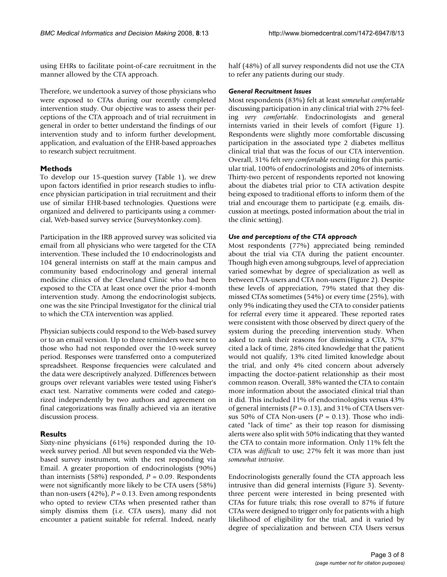using EHRs to facilitate point-of-care recruitment in the manner allowed by the CTA approach.

Therefore, we undertook a survey of those physicians who were exposed to CTAs during our recently completed intervention study. Our objective was to assess their perceptions of the CTA approach and of trial recruitment in general in order to better understand the findings of our intervention study and to inform further development, application, and evaluation of the EHR-based approaches to research subject recruitment.

# **Methods**

To develop our 15-question survey (Table 1), we drew upon factors identified in prior research studies to influence physician participation in trial recruitment and their use of similar EHR-based technologies. Questions were organized and delivered to participants using a commercial, Web-based survey service (SurveyMonkey.com).

Participation in the IRB approved survey was solicited via email from all physicians who were targeted for the CTA intervention. These included the 10 endocrinologists and 104 general internists on staff at the main campus and community based endocrinology and general internal medicine clinics of the Cleveland Clinic who had been exposed to the CTA at least once over the prior 4-month intervention study. Among the endocrinologist subjects, one was the site Principal Investigator for the clinical trial to which the CTA intervention was applied.

Physician subjects could respond to the Web-based survey or to an email version. Up to three reminders were sent to those who had not responded over the 10-week survey period. Responses were transferred onto a computerized spreadsheet. Response frequencies were calculated and the data were descriptively analyzed. Differences between groups over relevant variables were tested using Fisher's exact test. Narrative comments were coded and categorized independently by two authors and agreement on final categorizations was finally achieved via an iterative discussion process.

# **Results**

Sixty-nine physicians (61%) responded during the 10 week survey period. All but seven responded via the Webbased survey instrument, with the rest responding via Email. A greater proportion of endocrinologists (90%) than internists (58%) responded, *P* = 0.09. Respondents were not significantly more likely to be CTA users (58%) than non-users  $(42%)$ ,  $P = 0.13$ . Even among respondents who opted to review CTAs when presented rather than simply dismiss them (i.e. CTA users), many did not encounter a patient suitable for referral. Indeed, nearly half (48%) of all survey respondents did not use the CTA to refer any patients during our study.

# *General Recruitment Issues*

Most respondents (83%) felt at least *somewhat comfortable* discussing participation in any clinical trial with 27% feeling *very comfortable*. Endocrinologists and general internists varied in their levels of comfort (Figure 1). Respondents were slightly more comfortable discussing participation in the associated type 2 diabetes mellitus clinical trial that was the focus of our CTA intervention. Overall, 31% felt *very comfortable* recruiting for this particular trial, 100% of endocrinologists and 20% of internists. Thirty-two percent of respondents reported not knowing about the diabetes trial prior to CTA activation despite being exposed to traditional efforts to inform them of the trial and encourage them to participate (e.g. emails, discussion at meetings, posted information about the trial in the clinic setting).

# *Use and perceptions of the CTA approach*

Most respondents (77%) appreciated being reminded about the trial via CTA during the patient encounter. Though high even among subgroups, level of appreciation varied somewhat by degree of specialization as well as between CTA-users and CTA non-users (Figure 2). Despite these levels of appreciation, 79% stated that they dismissed CTAs sometimes (54%) or every time (25%), with only 9% indicating they used the CTA to consider patients for referral every time it appeared. These reported rates were consistent with those observed by direct query of the system during the preceding intervention study. When asked to rank their reasons for dismissing a CTA, 37% cited a lack of time, 28% cited knowledge that the patient would not qualify, 13% cited limited knowledge about the trial, and only 4% cited concern about adversely impacting the doctor-patient relationship as their most common reason. Overall, 38% wanted the CTA to contain more information about the associated clinical trial than it did. This included 11% of endocrinologists versus 43% of general internists (*P* = 0.13), and 31% of CTA Users versus 50% of CTA Non-users  $(P = 0.13)$ . Those who indicated "lack of time" as their top reason for dismissing alerts were also split with 50% indicating that they wanted the CTA to contain more information. Only 11% felt the CTA was *difficult* to use; 27% felt it was more than just *somewhat intrusive*.

Endocrinologists generally found the CTA approach less intrusive than did general internists (Figure 3). Seventythree percent were interested in being presented with CTAs for future trials; this rose overall to 87% if future CTAs were designed to trigger only for patients with a high likelihood of eligibility for the trial, and it varied by degree of specialization and between CTA Users versus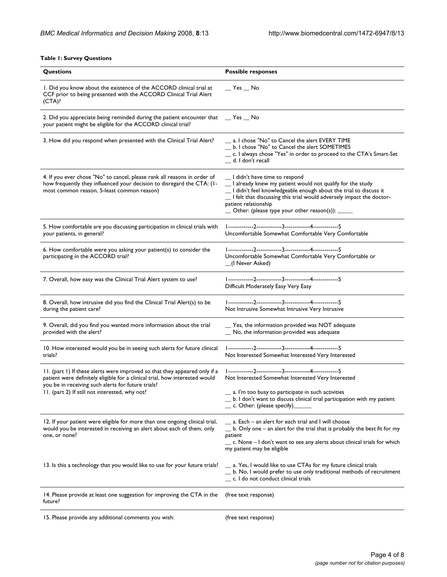# **Table 1: Survey Questions**

| Questions                                                                                                                                                                                                                                                         | <b>Possible responses</b>                                                                                                                                                                                                                                                                                                 |
|-------------------------------------------------------------------------------------------------------------------------------------------------------------------------------------------------------------------------------------------------------------------|---------------------------------------------------------------------------------------------------------------------------------------------------------------------------------------------------------------------------------------------------------------------------------------------------------------------------|
| I. Did you know about the existence of the ACCORD clinical trial at<br>CCF prior to being presented with the ACCORD Clinical Trial Alert<br>(CTA)?                                                                                                                | $Yes$ No                                                                                                                                                                                                                                                                                                                  |
| 2. Did you appreciate being reminded during the patient encounter that<br>your patient might be eligible for the ACCORD clinical trial?                                                                                                                           | $\mathcal{N}$ Yes $\mathcal{N}$ No                                                                                                                                                                                                                                                                                        |
| 3. How did you respond when presented with the Clinical Trial Alert?                                                                                                                                                                                              | _ a. I chose "No" to Cancel the alert EVERY TIME<br>_ b. I chose "No" to Cancel the alert SOMETIMES<br>_ c. I always chose "Yes" in order to proceed to the CTA's Smart-Set<br>__ d. I don't recall                                                                                                                       |
| 4. If you ever chose "No" to cancel, please rank all reasons in order of<br>how frequently they influenced your decision to disregard the CTA: (I-<br>most common reason, 5-least common reason)                                                                  | _I didn't have time to respond<br>_ I already knew my patient would not qualify for the study<br>_I didn't feel knowledgeable enough about the trial to discuss it<br>_I felt that discussing this trial would adversely impact the doctor-<br>patient relationship<br>_ Other: (please type your other reason(s)): _____ |
| 5. How comfortable are you discussing participation in clinical trials with<br>your patients, in general?                                                                                                                                                         | Uncomfortable Somewhat Comfortable Very Comfortable                                                                                                                                                                                                                                                                       |
| 6. How comfortable were you asking your patient(s) to consider the<br>participating in the ACCORD trial?                                                                                                                                                          | Uncomfortable Somewhat Comfortable Very Comfortable or<br>_(I Never Asked)                                                                                                                                                                                                                                                |
| 7. Overall, how easy was the Clinical Trial Alert system to use?                                                                                                                                                                                                  | Difficult Moderately Easy Very Easy                                                                                                                                                                                                                                                                                       |
| 8. Overall, how intrusive did you find the Clinical Trial Alert(s) to be<br>during the patient care?                                                                                                                                                              | Not Intrusive Somewhat Intrusive Very Intrusive                                                                                                                                                                                                                                                                           |
| 9. Overall, did you find you wanted more information about the trial<br>provided with the alert?                                                                                                                                                                  | _ Yes, the information provided was NOT adequate<br>_ No, the information provided was adequate                                                                                                                                                                                                                           |
| 10. How interested would you be in seeing such alerts for future clinical<br>trials?                                                                                                                                                                              | Not Interested Somewhat Interested Very Interested                                                                                                                                                                                                                                                                        |
| 11. (part 1) If these alerts were improved so that they appeared only if a<br>patient were definitely eligible for a clinical trial, how interested would<br>you be in receiving such alerts for future trials?<br>11. (part 2) If still not interested, why not? | Not Interested Somewhat Interested Very Interested<br>_ a. I'm too busy to participate in such activities<br>b. I don't want to discuss clinical trial participation with my patient<br>c. Other: (please specify)                                                                                                        |
| 12. If your patient were eligible for more than one ongoing clinical trial,<br>would you be interested in receiving an alert about each of them, only<br>one, or none?                                                                                            | _ a. Each – an alert for each trial and I will choose<br>b. Only one - an alert for the trial that is probably the best fit for my<br>patient<br>$\equiv$ c. None – I don't want to see any alerts about clinical trials for which<br>my patient may be eligible                                                          |
| 13. Is this a technology that you would like to use for your future trials?                                                                                                                                                                                       | $\_\_$ a. Yes, I would like to use CTAs for my future clinical trials<br>b. No, I would prefer to use only traditional methods of recruitment<br>_ c. I do not conduct clinical trials                                                                                                                                    |
| 14. Please provide at least one suggestion for improving the CTA in the<br>future?                                                                                                                                                                                | (free text response)                                                                                                                                                                                                                                                                                                      |
| 15. Please provide any additional comments you wish:                                                                                                                                                                                                              | (free text response)                                                                                                                                                                                                                                                                                                      |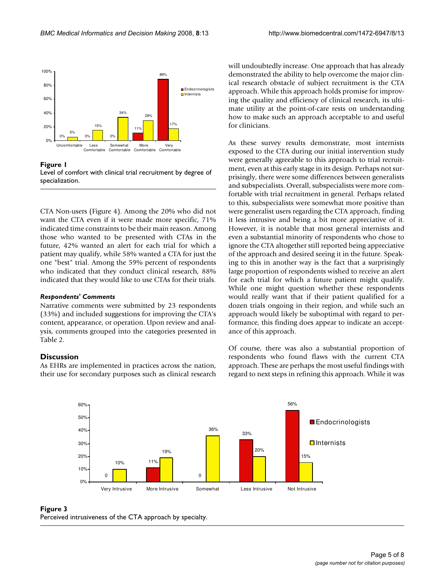

#### Figure 1

Level of comfort with clinical trial recruitment by degree of specialization.

CTA Non-users (Figure 4). Among the 20% who did not want the CTA even if it were made more specific, 71% indicated time constraints to be their main reason. Among those who wanted to be presented with CTAs in the future, 42% wanted an alert for each trial for which a patient may qualify, while 58% wanted a CTA for just the one "best" trial. Among the 59% percent of respondents who indicated that they conduct clinical research, 88% indicated that they would like to use CTAs for their trials.

### *Respondents' Comments*

Narrative comments were submitted by 23 respondents (33%) and included suggestions for improving the CTA's content, appearance, or operation. Upon review and analysis, comments grouped into the categories presented in Table 2.

#### **Discussion**

As EHRs are implemented in practices across the nation, their use for secondary purposes such as clinical research will undoubtedly increase. One approach that has already demonstrated the ability to help overcome the major clinical research obstacle of subject recruitment is the CTA approach. While this approach holds promise for improving the quality and efficiency of clinical research, its ultimate utility at the point-of-care rests on understanding how to make such an approach acceptable to and useful for clinicians.

As these survey results demonstrate, most internists exposed to the CTA during our initial intervention study were generally agreeable to this approach to trial recruitment, even at this early stage in its design. Perhaps not surprisingly, there were some differences between generalists and subspecialists. Overall, subspecialists were more comfortable with trial recruitment in general. Perhaps related to this, subspecialists were somewhat more positive than were generalist users regarding the CTA approach, finding it less intrusive and being a bit more appreciative of it. However, it is notable that most general internists and even a substantial minority of respondents who chose to ignore the CTA altogether still reported being appreciative of the approach and desired seeing it in the future. Speaking to this in another way is the fact that a surprisingly large proportion of respondents wished to receive an alert for each trial for which a future patient might qualify. While one might question whether these respondents would really want that if their patient qualified for a dozen trials ongoing in their region, and while such an approach would likely be suboptimal with regard to performance, this finding does appear to indicate an acceptance of this approach.

Of course, there was also a substantial proportion of respondents who found flaws with the current CTA approach. These are perhaps the most useful findings with regard to next steps in refining this approach. While it was



**Figure 3** Perceived intrusiveness of the CTA approach by specialty.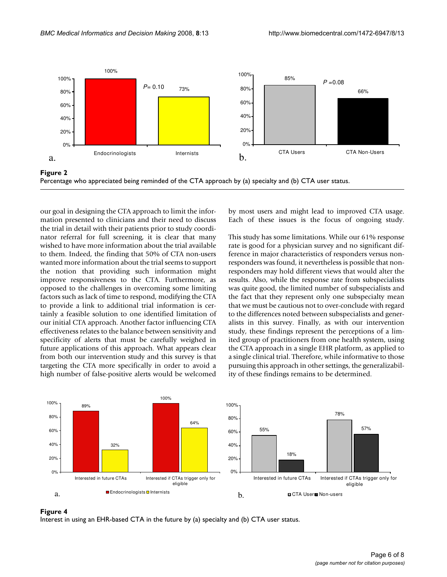

Percentage who appreciated being reminded of the CTA approach by (a) specialty and (b) CTA user status.

our goal in designing the CTA approach to limit the information presented to clinicians and their need to discuss the trial in detail with their patients prior to study coordinator referral for full screening, it is clear that many wished to have more information about the trial available to them. Indeed, the finding that 50% of CTA non-users wanted more information about the trial seems to support the notion that providing such information might improve responsiveness to the CTA. Furthermore, as opposed to the challenges in overcoming some limiting factors such as lack of time to respond, modifying the CTA to provide a link to additional trial information is certainly a feasible solution to one identified limitation of our initial CTA approach. Another factor influencing CTA effectiveness relates to the balance between sensitivity and specificity of alerts that must be carefully weighed in future applications of this approach. What appears clear from both our intervention study and this survey is that targeting the CTA more specifically in order to avoid a high number of false-positive alerts would be welcomed

by most users and might lead to improved CTA usage. Each of these issues is the focus of ongoing study.

This study has some limitations. While our 61% response rate is good for a physician survey and no significant difference in major characteristics of responders versus nonresponders was found, it nevertheless is possible that nonresponders may hold different views that would alter the results. Also, while the response rate from subspecialists was quite good, the limited number of subspecialists and the fact that they represent only one subspecialty mean that we must be cautious not to over-conclude with regard to the differences noted between subspecialists and generalists in this survey. Finally, as with our intervention study, these findings represent the perceptions of a limited group of practitioners from one health system, using the CTA approach in a single EHR platform, as applied to a single clinical trial. Therefore, while informative to those pursuing this approach in other settings, the generalizability of these findings remains to be determined.





Interest in using an EHR-based CTA in the future by (a) specialty and (b) CTA user status.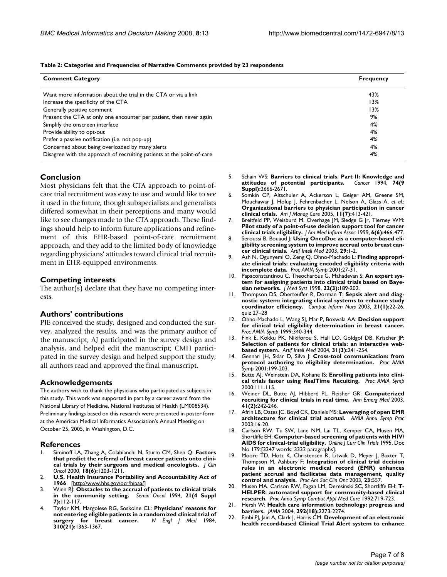| Table 2: Categories and Frequencies of Narrative Comments provided by 23 respondents |  |  |  |  |
|--------------------------------------------------------------------------------------|--|--|--|--|
|--------------------------------------------------------------------------------------|--|--|--|--|

| <b>Comment Category</b>                                                | <b>Frequency</b> |
|------------------------------------------------------------------------|------------------|
| Want more information about the trial in the CTA or via a link         | 43%              |
| Increase the specificity of the CTA                                    | 13%              |
| Generally positive comment                                             | 13%              |
| Present the CTA at only one encounter per patient, then never again    | 9%               |
| Simplify the onscreen interface                                        | 4%               |
| Provide ability to opt-out                                             | 4%               |
| Prefer a passive notification (i.e. not pop-up)                        | 4%               |
| Concerned about being overloaded by many alerts                        | 4%               |
| Disagree with the approach of recruiting patients at the point-of-care | 4%               |

## **Conclusion**

Most physicians felt that the CTA approach to point-ofcare trial recruitment was easy to use and would like to see it used in the future, though subspecialists and generalists differed somewhat in their perceptions and many would like to see changes made to the CTA approach. These findings should help to inform future applications and refinement of this EHR-based point-of-care recruitment approach, and they add to the limited body of knowledge regarding physicians' attitudes toward clinical trial recruitment in EHR-equipped environments.

#### **Competing interests**

The author(s) declare that they have no competing interests.

## **Authors' contributions**

PJE conceived the study, designed and conducted the survey, analyzed the results, and was the primary author of the manuscript; AJ participated in the survey design and analysis, and helped edit the manuscript; CMH participated in the survey design and helped support the study; all authors read and approved the final manuscript.

#### **Acknowledgements**

The authors wish to thank the physicians who participated as subjects in this study. This work was supported in part by a career award from the National Library of Medicine, National Institutes of Health (LM008534). Preliminary findings based on this research were presented in poster form at the American Medical Informatics Association's Annual Meeting on October 25, 2005, in Washington, D.C.

#### **References**

- 1. Siminoff LA, Zhang A, Colabianchi N, Sturm CM, Shen Q: **[Factors](http://www.ncbi.nlm.nih.gov/entrez/query.fcgi?cmd=Retrieve&db=PubMed&dopt=Abstract&list_uids=10715289) [that predict the referral of breast cancer patients onto clini](http://www.ncbi.nlm.nih.gov/entrez/query.fcgi?cmd=Retrieve&db=PubMed&dopt=Abstract&list_uids=10715289)[cal trials by their surgeons and medical oncologists.](http://www.ncbi.nlm.nih.gov/entrez/query.fcgi?cmd=Retrieve&db=PubMed&dopt=Abstract&list_uids=10715289)** *J Clin Oncol* 2000, **18(6):**1203-1211.
- 2. **U.S. Health Insurance Portability and Accountability Act of 1966** [\[http://www.hhs.gov/ocr/hipaa/](http://www.hhs.gov/ocr/hipaa/)]
- 3. Winn RJ: **[Obstacles to the accrual of patients to clinical trials](http://www.ncbi.nlm.nih.gov/entrez/query.fcgi?cmd=Retrieve&db=PubMed&dopt=Abstract&list_uids=8091236) [in the community setting.](http://www.ncbi.nlm.nih.gov/entrez/query.fcgi?cmd=Retrieve&db=PubMed&dopt=Abstract&list_uids=8091236)** *Semin Oncol* 1994, **21(4 Suppl 7):**112-117.
- 4. Taylor KM, Margolese RG, Soskolne CL: **[Physicians' reasons for](http://www.ncbi.nlm.nih.gov/entrez/query.fcgi?cmd=Retrieve&db=PubMed&dopt=Abstract&list_uids=6717508) [not entering eligible patients in a randomized clinical trial of](http://www.ncbi.nlm.nih.gov/entrez/query.fcgi?cmd=Retrieve&db=PubMed&dopt=Abstract&list_uids=6717508)** surgery for **breast** cancer. **310(21):**1363-1367.
- 5. Schain WS: **[Barriers to clinical trials. Part II: Knowledge and](http://www.ncbi.nlm.nih.gov/entrez/query.fcgi?cmd=Retrieve&db=PubMed&dopt=Abstract&list_uids=7954283)** [attitudes of potential participants.](http://www.ncbi.nlm.nih.gov/entrez/query.fcgi?cmd=Retrieve&db=PubMed&dopt=Abstract&list_uids=7954283) **Suppl):**2666-2671.
- 6. Somkin CP, Altschuler A, Ackerson L, Geiger AM, Greene SM, Mouchawar J, Holup J, Fehrenbacher L, Nelson A, Glass A, *et al.*: **[Organizational barriers to physician participation in cancer](http://www.ncbi.nlm.nih.gov/entrez/query.fcgi?cmd=Retrieve&db=PubMed&dopt=Abstract&list_uids=16044978) [clinical trials.](http://www.ncbi.nlm.nih.gov/entrez/query.fcgi?cmd=Retrieve&db=PubMed&dopt=Abstract&list_uids=16044978)** *Am J Manag Care* 2005, **11(7):**413-421.
- 7. Breitfeld PP, Weisburd M, Overhage JM, Sledge G Jr, Tierney WM: **[Pilot study of a point-of-use decision support tool for cancer](http://www.ncbi.nlm.nih.gov/entrez/query.fcgi?cmd=Retrieve&db=PubMed&dopt=Abstract&list_uids=10579605) [clinical trials eligibility.](http://www.ncbi.nlm.nih.gov/entrez/query.fcgi?cmd=Retrieve&db=PubMed&dopt=Abstract&list_uids=10579605)** *J Am Med Inform Assoc* 1999, **6(6):**466-477.
- 8. Seroussi B, Bouaud J: **Using OncoDoc as a computer-based eligibility screening system to improve accrual onto breast cancer clinical trials.** *Artif Intell Med* 2003, **29:**1-2.
- 9. Ash N, Ogunyemi O, Zeng Q, Ohno-Machado L: **[Finding appropri](http://www.ncbi.nlm.nih.gov/entrez/query.fcgi?cmd=Retrieve&db=PubMed&dopt=Abstract&list_uids=11825151)[ate clinical trials: evaluating encoded eligibility criteria with](http://www.ncbi.nlm.nih.gov/entrez/query.fcgi?cmd=Retrieve&db=PubMed&dopt=Abstract&list_uids=11825151) [incomplete data.](http://www.ncbi.nlm.nih.gov/entrez/query.fcgi?cmd=Retrieve&db=PubMed&dopt=Abstract&list_uids=11825151)** *Proc AMIA Symp* 2001:27-31.
- 10. Papaconstantinou C, Theocharous G, Mahadevan S: **[An expert sys](http://www.ncbi.nlm.nih.gov/entrez/query.fcgi?cmd=Retrieve&db=PubMed&dopt=Abstract&list_uids=9604785)[tem for assigning patients into clinical trials based on Baye](http://www.ncbi.nlm.nih.gov/entrez/query.fcgi?cmd=Retrieve&db=PubMed&dopt=Abstract&list_uids=9604785)[sian networks.](http://www.ncbi.nlm.nih.gov/entrez/query.fcgi?cmd=Retrieve&db=PubMed&dopt=Abstract&list_uids=9604785)** *J Med Syst* 1998, **22(3):**189-202.
- 11. Thompson DS, Oberteuffer R, Dorman T: **[Sepsis alert and diag](http://www.ncbi.nlm.nih.gov/entrez/query.fcgi?cmd=Retrieve&db=PubMed&dopt=Abstract&list_uids=12544151)[nostic system: integrating clinical systems to enhance study](http://www.ncbi.nlm.nih.gov/entrez/query.fcgi?cmd=Retrieve&db=PubMed&dopt=Abstract&list_uids=12544151) [coordinator efficiency.](http://www.ncbi.nlm.nih.gov/entrez/query.fcgi?cmd=Retrieve&db=PubMed&dopt=Abstract&list_uids=12544151)** *Comput Inform Nurs* 2003, **21(1):**22-26. quiz 27–28
- 12. Ohno-Machado L, Wang SJ, Mar P, Boxwala AA: **[Decision support](http://www.ncbi.nlm.nih.gov/entrez/query.fcgi?cmd=Retrieve&db=PubMed&dopt=Abstract&list_uids=10566377) [for clinical trial eligibility determination in breast cancer.](http://www.ncbi.nlm.nih.gov/entrez/query.fcgi?cmd=Retrieve&db=PubMed&dopt=Abstract&list_uids=10566377)** *Proc AMIA Symp* 1999:340-344.
- 13. Fink E, Kokku PK, Nikiforou S, Hall LO, Goldgof DB, Krischer JP: **[Selection of patients for clinical trials: an interactive web](http://www.ncbi.nlm.nih.gov/entrez/query.fcgi?cmd=Retrieve&db=PubMed&dopt=Abstract&list_uids=15302090)[based system.](http://www.ncbi.nlm.nih.gov/entrez/query.fcgi?cmd=Retrieve&db=PubMed&dopt=Abstract&list_uids=15302090)** *Artif Intell Med* 2004, **31(3):**241-254.
- 14. Gennari JH, Sklar D, Silva J: **[Cross-tool communication: from](http://www.ncbi.nlm.nih.gov/entrez/query.fcgi?cmd=Retrieve&db=PubMed&dopt=Abstract&list_uids=11825180) [protocol authoring to eligibility determination.](http://www.ncbi.nlm.nih.gov/entrez/query.fcgi?cmd=Retrieve&db=PubMed&dopt=Abstract&list_uids=11825180)** *Proc AMIA Symp* 2001:199-203.
- 15. Butte AJ, Weinstein DA, Kohane IS: **[Enrolling patients into clini](http://www.ncbi.nlm.nih.gov/entrez/query.fcgi?cmd=Retrieve&db=PubMed&dopt=Abstract&list_uids=11079855)[cal trials faster using RealTime Recuiting.](http://www.ncbi.nlm.nih.gov/entrez/query.fcgi?cmd=Retrieve&db=PubMed&dopt=Abstract&list_uids=11079855)** *Proc AMIA Symp* 2000:111-115.
- 16. Weiner DL, Butte AJ, Hibberd PL, Fleisher GR: **[Computerized](http://www.ncbi.nlm.nih.gov/entrez/query.fcgi?cmd=Retrieve&db=PubMed&dopt=Abstract&list_uids=12548275) [recruiting for clinical trials in real time.](http://www.ncbi.nlm.nih.gov/entrez/query.fcgi?cmd=Retrieve&db=PubMed&dopt=Abstract&list_uids=12548275)** *Ann Emerg Med* 2003, **41(2):**242-246.
- 17. Afrin LB, Oates JC, Boyd CK, Daniels MS: **[Leveraging of open EMR](http://www.ncbi.nlm.nih.gov/entrez/query.fcgi?cmd=Retrieve&db=PubMed&dopt=Abstract&list_uids=14728125) [architecture for clinical trial accrual.](http://www.ncbi.nlm.nih.gov/entrez/query.fcgi?cmd=Retrieve&db=PubMed&dopt=Abstract&list_uids=14728125)** *AMIA Annu Symp Proc* 2003:16-20.
- 18. Carlson RW, Tu SW, Lane NM, Lai TL, Kemper CA, Musen MA, Shortliffe EH: **[Computer-based screening of patients with HIV/](http://www.ncbi.nlm.nih.gov/entrez/query.fcgi?cmd=Retrieve&db=PubMed&dopt=Abstract&list_uids=7719564) [AIDS for clinical-trial eligibility.](http://www.ncbi.nlm.nih.gov/entrez/query.fcgi?cmd=Retrieve&db=PubMed&dopt=Abstract&list_uids=7719564)** *Online J Curr Clin Trials* 1995. Doc No 179:[3347 words; 3332 paragraphs].
- 19. Moore TD, Hotz K, Christensen R, Litwak D, Meyer J, Baxter T, Thompson M, Ashbury F: **Integration of clinical trial decision rules in an electronic medical record (EMR) enhances patient accrual and facilitates data management, quality control and analysis.** *Proc Am Soc Clin Onc* 2003, **23:**557.
- 20. Musen MA, Carlson RW, Fagan LM, Deresinski SC, Shortliffe EH: **[T-](http://www.ncbi.nlm.nih.gov/entrez/query.fcgi?cmd=Retrieve&db=PubMed&dopt=Abstract&list_uids=1482965)[HELPER: automated support for community-based clinical](http://www.ncbi.nlm.nih.gov/entrez/query.fcgi?cmd=Retrieve&db=PubMed&dopt=Abstract&list_uids=1482965) [research.](http://www.ncbi.nlm.nih.gov/entrez/query.fcgi?cmd=Retrieve&db=PubMed&dopt=Abstract&list_uids=1482965)** *Proc Annu Symp Comput Appl Med Care* 1992:719-723.
- 21. Hersh W: **[Health care information technology: progress and](http://www.ncbi.nlm.nih.gov/entrez/query.fcgi?cmd=Retrieve&db=PubMed&dopt=Abstract&list_uids=15536117) [barriers.](http://www.ncbi.nlm.nih.gov/entrez/query.fcgi?cmd=Retrieve&db=PubMed&dopt=Abstract&list_uids=15536117)** *JAMA* 2004, **292(18):**2273-2274.
- 22. Embi PJ, Jain A, Clark J, Harris CM: **[Development of an electronic](http://www.ncbi.nlm.nih.gov/entrez/query.fcgi?cmd=Retrieve&db=PubMed&dopt=Abstract&list_uids=16779036) [health record-based Clinical Trial Alert system to enhance](http://www.ncbi.nlm.nih.gov/entrez/query.fcgi?cmd=Retrieve&db=PubMed&dopt=Abstract&list_uids=16779036)**